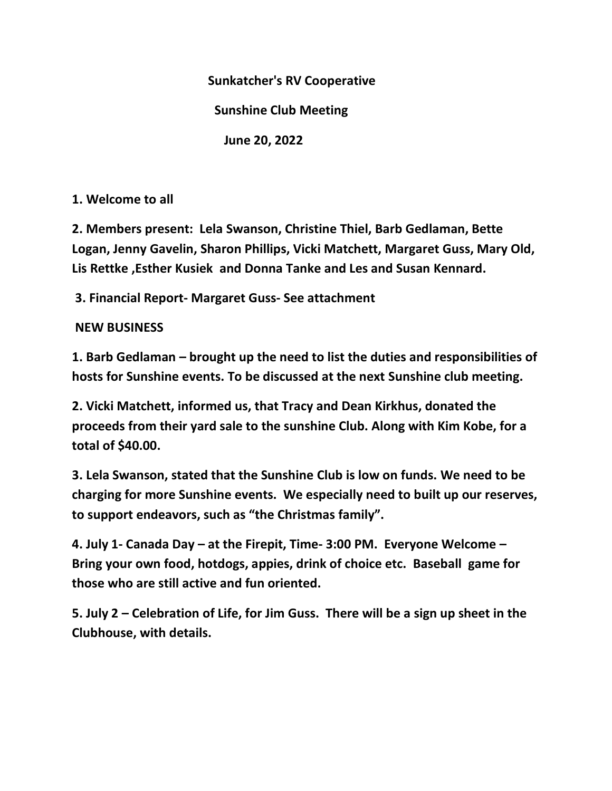**Sunkatcher's RV Cooperative**

 **Sunshine Club Meeting**

 **June 20, 2022**

**1. Welcome to all**

**2. Members present: Lela Swanson, Christine Thiel, Barb Gedlaman, Bette Logan, Jenny Gavelin, Sharon Phillips, Vicki Matchett, Margaret Guss, Mary Old, Lis Rettke ,Esther Kusiek and Donna Tanke and Les and Susan Kennard.**

**3. Financial Report- Margaret Guss- See attachment**

**NEW BUSINESS**

**1. Barb Gedlaman – brought up the need to list the duties and responsibilities of hosts for Sunshine events. To be discussed at the next Sunshine club meeting.**

**2. Vicki Matchett, informed us, that Tracy and Dean Kirkhus, donated the proceeds from their yard sale to the sunshine Club. Along with Kim Kobe, for a total of \$40.00.**

**3. Lela Swanson, stated that the Sunshine Club is low on funds. We need to be charging for more Sunshine events. We especially need to built up our reserves, to support endeavors, such as "the Christmas family".**

**4. July 1- Canada Day – at the Firepit, Time- 3:00 PM. Everyone Welcome – Bring your own food, hotdogs, appies, drink of choice etc. Baseball game for those who are still active and fun oriented.**

**5. July 2 – Celebration of Life, for Jim Guss. There will be a sign up sheet in the Clubhouse, with details.**